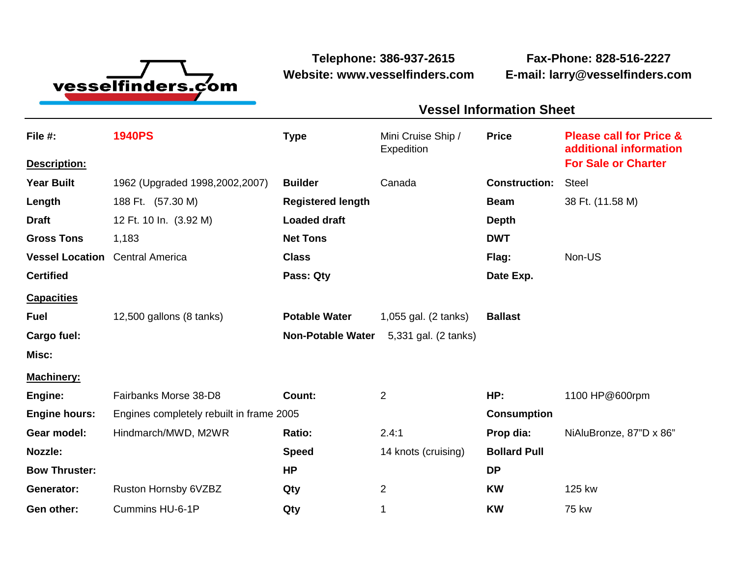

**Website: www.vesselfinders.com E-mail: larry@vesselfinders.com**

**Telephone: 386-937-2615 Fax-Phone: 828-516-2227**

## **Vessel Information Sheet Vessel Information Sheet**

| File #:                | <b>1940PS</b>                            | <b>Type</b>              | Mini Cruise Ship /<br>Expedition | <b>Price</b>         | <b>Please call for Price &amp;</b><br>additional information |
|------------------------|------------------------------------------|--------------------------|----------------------------------|----------------------|--------------------------------------------------------------|
| Description:           |                                          |                          |                                  |                      | <b>For Sale or Charter</b>                                   |
| <b>Year Built</b>      | 1962 (Upgraded 1998,2002,2007)           | <b>Builder</b>           | Canada                           | <b>Construction:</b> | <b>Steel</b>                                                 |
| Length                 | 188 Ft. (57.30 M)                        | <b>Registered length</b> |                                  | <b>Beam</b>          | 38 Ft. (11.58 M)                                             |
| <b>Draft</b>           | 12 Ft. 10 In. (3.92 M)                   | <b>Loaded draft</b>      |                                  | <b>Depth</b>         |                                                              |
| <b>Gross Tons</b>      | 1,183                                    | <b>Net Tons</b>          |                                  | <b>DWT</b>           |                                                              |
| <b>Vessel Location</b> | <b>Central America</b>                   | <b>Class</b>             |                                  | Flag:                | Non-US                                                       |
| <b>Certified</b>       |                                          | Pass: Qty                |                                  | Date Exp.            |                                                              |
| <b>Capacities</b>      |                                          |                          |                                  |                      |                                                              |
| <b>Fuel</b>            | 12,500 gallons (8 tanks)                 | <b>Potable Water</b>     | 1,055 gal. (2 tanks)             | <b>Ballast</b>       |                                                              |
| Cargo fuel:            |                                          | <b>Non-Potable Water</b> | 5,331 gal. (2 tanks)             |                      |                                                              |
| Misc:                  |                                          |                          |                                  |                      |                                                              |
| <b>Machinery:</b>      |                                          |                          |                                  |                      |                                                              |
| Engine:                | Fairbanks Morse 38-D8                    | Count:                   | $\overline{2}$                   | HP:                  | 1100 HP@600rpm                                               |
| <b>Engine hours:</b>   | Engines completely rebuilt in frame 2005 | <b>Consumption</b>       |                                  |                      |                                                              |
| Gear model:            | Hindmarch/MWD, M2WR                      | Ratio:                   | 2.4:1                            | Prop dia:            | NiAluBronze, 87"D x 86"                                      |
| <b>Nozzle:</b>         |                                          | <b>Speed</b>             | 14 knots (cruising)              | <b>Bollard Pull</b>  |                                                              |
| <b>Bow Thruster:</b>   |                                          | <b>HP</b>                |                                  | <b>DP</b>            |                                                              |
| Generator:             | Ruston Hornsby 6VZBZ                     | Qty                      | $\overline{2}$                   | <b>KW</b>            | 125 kw                                                       |
| Gen other:             | Cummins HU-6-1P                          | Qty                      | 1                                | <b>KW</b>            | <b>75 kw</b>                                                 |